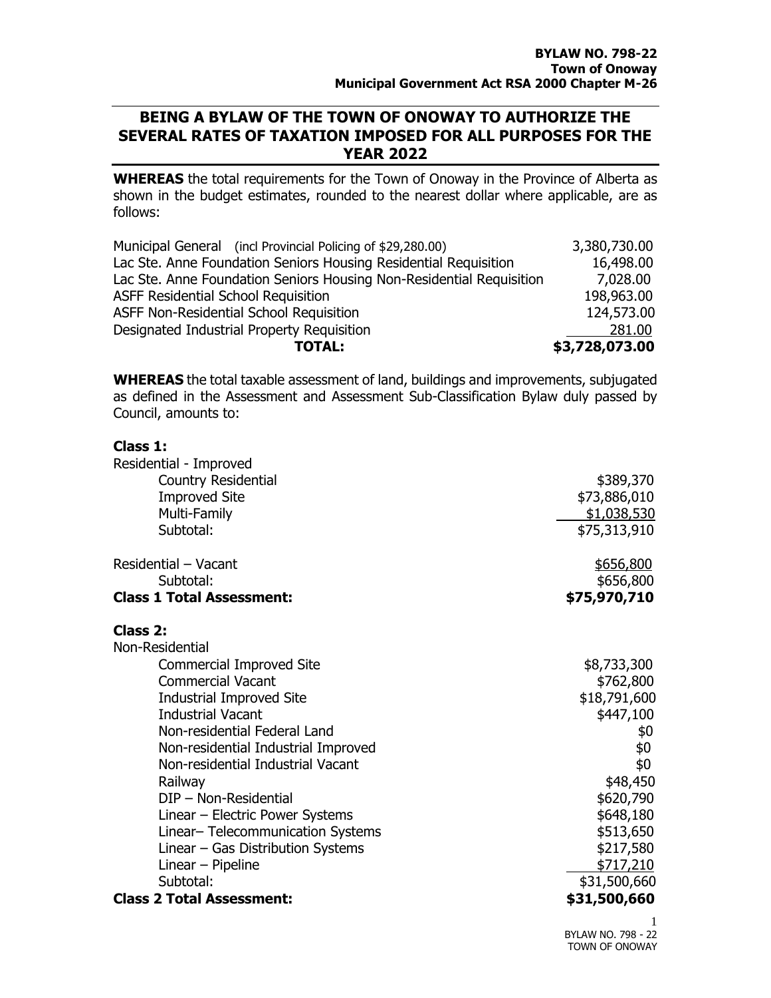## **BEING A BYLAW OF THE TOWN OF ONOWAY TO AUTHORIZE THE SEVERAL RATES OF TAXATION IMPOSED FOR ALL PURPOSES FOR THE YEAR 2022**

**WHEREAS** the total requirements for the Town of Onoway in the Province of Alberta as shown in the budget estimates, rounded to the nearest dollar where applicable, are as follows:

| Municipal General (incl Provincial Policing of \$29,280.00)          | 3,380,730.00   |
|----------------------------------------------------------------------|----------------|
| Lac Ste. Anne Foundation Seniors Housing Residential Requisition     | 16,498.00      |
| Lac Ste. Anne Foundation Seniors Housing Non-Residential Requisition | 7,028.00       |
| <b>ASFF Residential School Requisition</b>                           | 198,963.00     |
| ASFF Non-Residential School Requisition                              | 124,573.00     |
| Designated Industrial Property Requisition                           | 281.00         |
| <b>TOTAL:</b>                                                        | \$3,728,073.00 |

**WHEREAS** the total taxable assessment of land, buildings and improvements, subjugated as defined in the Assessment and Assessment Sub-Classification Bylaw duly passed by Council, amounts to:

## **Class 1:**

| Residential - Improved              |              |
|-------------------------------------|--------------|
| <b>Country Residential</b>          | \$389,370    |
| <b>Improved Site</b>                | \$73,886,010 |
| Multi-Family                        | \$1,038,530  |
| Subtotal:                           | \$75,313,910 |
| Residential - Vacant                | \$656,800    |
| Subtotal:                           | \$656,800    |
| <b>Class 1 Total Assessment:</b>    | \$75,970,710 |
| Class 2:                            |              |
| Non-Residential                     |              |
| <b>Commercial Improved Site</b>     | \$8,733,300  |
| <b>Commercial Vacant</b>            | \$762,800    |
| <b>Industrial Improved Site</b>     | \$18,791,600 |
| <b>Industrial Vacant</b>            | \$447,100    |
| Non-residential Federal Land        | \$0          |
| Non-residential Industrial Improved | \$0          |
| Non-residential Industrial Vacant   | \$0          |
| Railway                             | \$48,450     |
| DIP - Non-Residential               | \$620,790    |
| Linear - Electric Power Systems     | \$648,180    |
| Linear-Telecommunication Systems    | \$513,650    |
| Linear – Gas Distribution Systems   | \$217,580    |
| Linear $-$ Pipeline                 | \$717,210    |
| Subtotal:                           | \$31,500,660 |
| <b>Class 2 Total Assessment:</b>    | \$31,500,660 |
|                                     | 1            |

BYLAW NO. 798 - 22 TOWN OF ONOWAY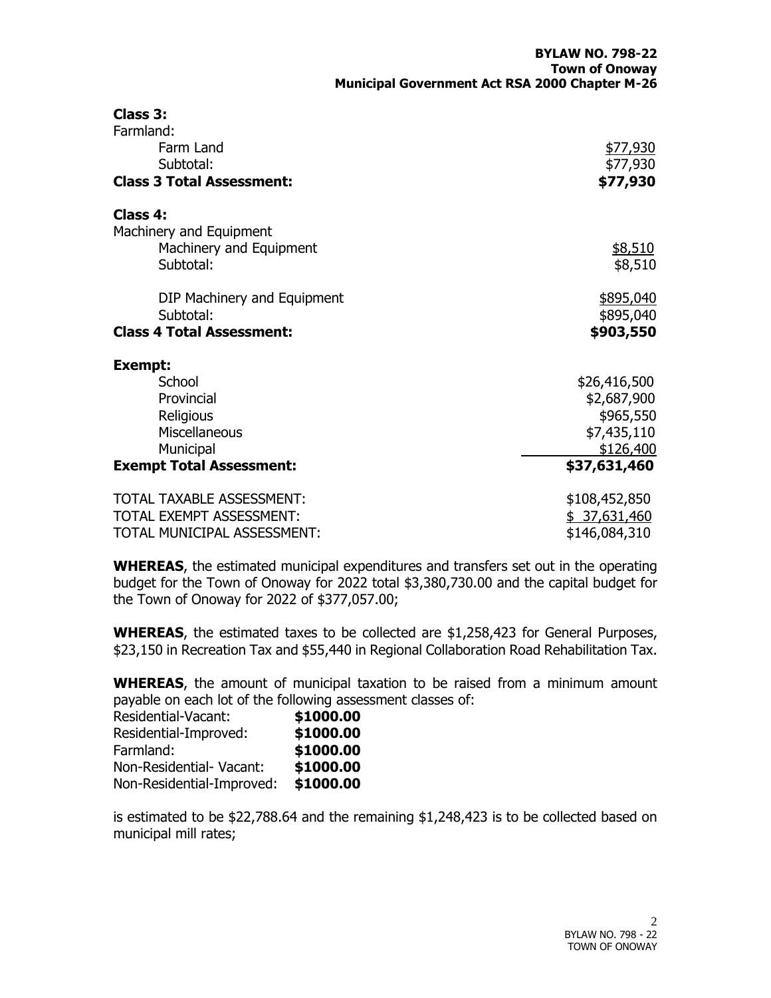| Class 3:<br>Farmland:            |                 |
|----------------------------------|-----------------|
| Farm Land                        | <u>\$77,930</u> |
| Subtotal:                        | \$77,930        |
| <b>Class 3 Total Assessment:</b> | \$77,930        |
| Class 4:                         |                 |
| Machinery and Equipment          |                 |
| Machinery and Equipment          | \$8,510         |
| Subtotal:                        | \$8,510         |
| DIP Machinery and Equipment      | \$895,040       |
| Subtotal:                        | \$895,040       |
| <b>Class 4 Total Assessment:</b> | \$903,550       |
| <b>Exempt:</b>                   |                 |
| School                           | \$26,416,500    |
| Provincial                       | \$2,687,900     |
| Religious                        | \$965,550       |
| Miscellaneous                    | \$7,435,110     |
| Municipal                        | \$126,400       |
| <b>Exempt Total Assessment:</b>  | \$37,631,460    |
| TOTAL TAXABLE ASSESSMENT:        | \$108,452,850   |
| TOTAL EXEMPT ASSESSMENT:         | \$37,631,460    |
| TOTAL MUNICIPAL ASSESSMENT:      | \$146,084,310   |

**WHEREAS**, the estimated municipal expenditures and transfers set out in the operating budget for the Town of Onoway for 2022 total \$3,380,730.00 and the capital budget for the Town of Onoway for 2022 of \$377,057.00;

**WHEREAS**, the estimated taxes to be collected are \$1,258,423 for General Purposes, \$23,150 in Recreation Tax and \$55,440 in Regional Collaboration Road Rehabilitation Tax.

**WHEREAS**, the amount of municipal taxation to be raised from a minimum amount payable on each lot of the following assessment classes of:

| \$1000.00 |
|-----------|
| \$1000.00 |
| \$1000.00 |
| \$1000.00 |
| \$1000.00 |
|           |

is estimated to be \$22,788.64 and the remaining \$1,248,423 is to be collected based on municipal mill rates;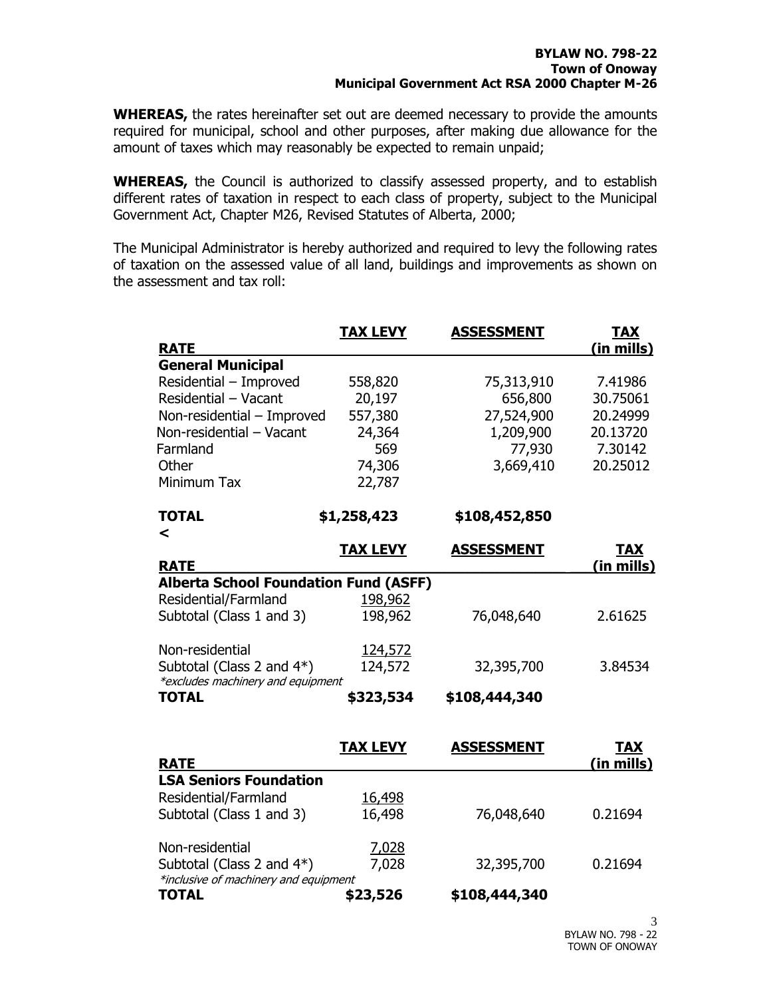**WHEREAS,** the rates hereinafter set out are deemed necessary to provide the amounts required for municipal, school and other purposes, after making due allowance for the amount of taxes which may reasonably be expected to remain unpaid;

**WHEREAS,** the Council is authorized to classify assessed property, and to establish different rates of taxation in respect to each class of property, subject to the Municipal Government Act, Chapter M26, Revised Statutes of Alberta, 2000;

The Municipal Administrator is hereby authorized and required to levy the following rates of taxation on the assessed value of all land, buildings and improvements as shown on the assessment and tax roll:

| <b>General Municipal</b><br>Residential - Improved<br>558,820<br>75,313,910<br>Residential - Vacant<br>20,197<br>656,800<br>557,380<br>27,524,900<br>Non-residential - Improved<br>1,209,900<br>24,364<br>569<br>77,930<br>74,306<br>3,669,410<br>Other<br>Minimum Tax<br>22,787<br><b>TOTAL</b><br>\$1,258,423<br>\$108,452,850<br>$\prec$<br><b>TAX LEVY</b><br><b>ASSESSMENT</b><br><b>RATE</b><br><b>Alberta School Foundation Fund (ASFF)</b><br>Residential/Farmland<br>198,962<br>Subtotal (Class 1 and 3)<br>198,962<br>76,048,640<br>Non-residential<br>124,572<br>Subtotal (Class 2 and 4*)<br>124,572<br>32,395,700<br>*excludes machinery and equipment<br><b>TOTAL</b><br>\$108,444,340<br>\$323,534<br><b>TAX LEVY</b><br><b>ASSESSMENT</b><br><b>RATE</b><br><b>LSA Seniors Foundation</b><br>Residential/Farmland<br>16,498<br>16,498<br>Subtotal (Class 1 and 3)<br>76,048,640<br>Non-residential<br>7,028<br>Subtotal (Class 2 and 4*)<br>7,028<br>32,395,700<br>*inclusive of machinery and equipment | <b>RATE</b>  | <b>TAX LEVY</b> | <b>ASSESSMENT</b> | <b>TAX</b><br>(in mills) |
|--------------------------------------------------------------------------------------------------------------------------------------------------------------------------------------------------------------------------------------------------------------------------------------------------------------------------------------------------------------------------------------------------------------------------------------------------------------------------------------------------------------------------------------------------------------------------------------------------------------------------------------------------------------------------------------------------------------------------------------------------------------------------------------------------------------------------------------------------------------------------------------------------------------------------------------------------------------------------------------------------------------------------|--------------|-----------------|-------------------|--------------------------|
|                                                                                                                                                                                                                                                                                                                                                                                                                                                                                                                                                                                                                                                                                                                                                                                                                                                                                                                                                                                                                          |              |                 |                   |                          |
|                                                                                                                                                                                                                                                                                                                                                                                                                                                                                                                                                                                                                                                                                                                                                                                                                                                                                                                                                                                                                          |              |                 |                   | 7.41986                  |
|                                                                                                                                                                                                                                                                                                                                                                                                                                                                                                                                                                                                                                                                                                                                                                                                                                                                                                                                                                                                                          |              |                 |                   | 30.75061                 |
| Non-residential - Vacant<br>Farmland                                                                                                                                                                                                                                                                                                                                                                                                                                                                                                                                                                                                                                                                                                                                                                                                                                                                                                                                                                                     |              |                 |                   | 20.24999                 |
|                                                                                                                                                                                                                                                                                                                                                                                                                                                                                                                                                                                                                                                                                                                                                                                                                                                                                                                                                                                                                          |              |                 |                   | 20.13720                 |
|                                                                                                                                                                                                                                                                                                                                                                                                                                                                                                                                                                                                                                                                                                                                                                                                                                                                                                                                                                                                                          |              |                 |                   | 7.30142                  |
|                                                                                                                                                                                                                                                                                                                                                                                                                                                                                                                                                                                                                                                                                                                                                                                                                                                                                                                                                                                                                          |              |                 |                   | 20.25012                 |
|                                                                                                                                                                                                                                                                                                                                                                                                                                                                                                                                                                                                                                                                                                                                                                                                                                                                                                                                                                                                                          |              |                 |                   |                          |
|                                                                                                                                                                                                                                                                                                                                                                                                                                                                                                                                                                                                                                                                                                                                                                                                                                                                                                                                                                                                                          |              |                 |                   |                          |
|                                                                                                                                                                                                                                                                                                                                                                                                                                                                                                                                                                                                                                                                                                                                                                                                                                                                                                                                                                                                                          |              |                 |                   | <b>TAX</b>               |
|                                                                                                                                                                                                                                                                                                                                                                                                                                                                                                                                                                                                                                                                                                                                                                                                                                                                                                                                                                                                                          |              |                 |                   | (in mills)               |
|                                                                                                                                                                                                                                                                                                                                                                                                                                                                                                                                                                                                                                                                                                                                                                                                                                                                                                                                                                                                                          |              |                 |                   |                          |
|                                                                                                                                                                                                                                                                                                                                                                                                                                                                                                                                                                                                                                                                                                                                                                                                                                                                                                                                                                                                                          |              |                 |                   |                          |
|                                                                                                                                                                                                                                                                                                                                                                                                                                                                                                                                                                                                                                                                                                                                                                                                                                                                                                                                                                                                                          |              |                 |                   | 2.61625                  |
|                                                                                                                                                                                                                                                                                                                                                                                                                                                                                                                                                                                                                                                                                                                                                                                                                                                                                                                                                                                                                          |              |                 |                   |                          |
|                                                                                                                                                                                                                                                                                                                                                                                                                                                                                                                                                                                                                                                                                                                                                                                                                                                                                                                                                                                                                          |              |                 |                   | 3.84534                  |
|                                                                                                                                                                                                                                                                                                                                                                                                                                                                                                                                                                                                                                                                                                                                                                                                                                                                                                                                                                                                                          |              |                 |                   |                          |
|                                                                                                                                                                                                                                                                                                                                                                                                                                                                                                                                                                                                                                                                                                                                                                                                                                                                                                                                                                                                                          |              |                 |                   |                          |
|                                                                                                                                                                                                                                                                                                                                                                                                                                                                                                                                                                                                                                                                                                                                                                                                                                                                                                                                                                                                                          |              |                 |                   | <b>TAX</b><br>(in mills) |
|                                                                                                                                                                                                                                                                                                                                                                                                                                                                                                                                                                                                                                                                                                                                                                                                                                                                                                                                                                                                                          |              |                 |                   |                          |
|                                                                                                                                                                                                                                                                                                                                                                                                                                                                                                                                                                                                                                                                                                                                                                                                                                                                                                                                                                                                                          |              |                 |                   |                          |
|                                                                                                                                                                                                                                                                                                                                                                                                                                                                                                                                                                                                                                                                                                                                                                                                                                                                                                                                                                                                                          |              |                 |                   | 0.21694                  |
|                                                                                                                                                                                                                                                                                                                                                                                                                                                                                                                                                                                                                                                                                                                                                                                                                                                                                                                                                                                                                          |              |                 |                   |                          |
|                                                                                                                                                                                                                                                                                                                                                                                                                                                                                                                                                                                                                                                                                                                                                                                                                                                                                                                                                                                                                          |              |                 |                   | 0.21694                  |
|                                                                                                                                                                                                                                                                                                                                                                                                                                                                                                                                                                                                                                                                                                                                                                                                                                                                                                                                                                                                                          | <b>TOTAL</b> | \$23,526        | \$108,444,340     |                          |